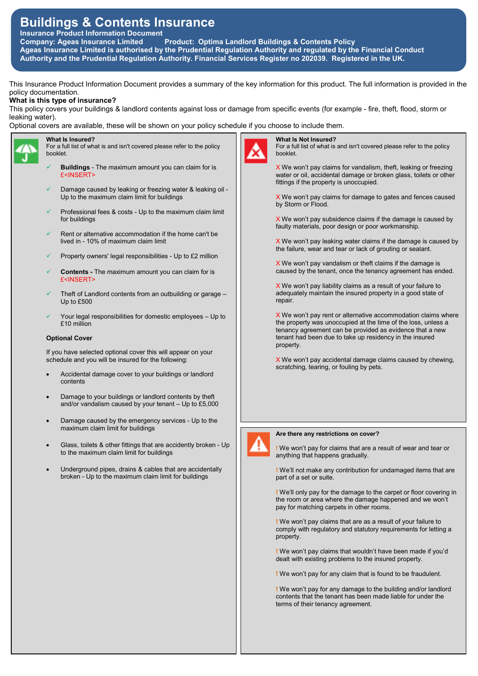# Buildings & Contents Insurance

Insurance Product Information Document

Company: Ageas Insurance Limited Product: Optima Landlord Buildings & Contents Policy Ageas Insurance Limited is authorised by the Prudential Regulation Authority and regulated by the Financial Conduct Authority and the Prudential Regulation Authority. Financial Services Register no 202039. Registered in the UK.

This Insurance Product Information Document provides a summary of the key information for this product. The full information is provided in the policy documentation.

# What is this type of insurance?

This policy covers your buildings & landlord contents against loss or damage from specific events (for example - fire, theft, flood, storm or leaking water).

Optional covers are available, these will be shown on your policy schedule if you choose to include them.



# What Is Insured?

- For a full list of what is and isn't covered please refer to the policy booklet.
- Buildings The maximum amount you can claim for is £<INSERT>
- Damage caused by leaking or freezing water & leaking oil Up to the maximum claim limit for buildings
- Professional fees & costs Up to the maximum claim limit for buildings
- Rent or alternative accommodation if the home can't be lived in - 10% of maximum claim limit
- Property owners' legal responsibilities Up to £2 million
- Contents The maximum amount you can claim for is £<INSERT>
- Theft of Landlord contents from an outbuilding or garage Up to £500
- Your legal responsibilities for domestic employees Up to £10 million

# Optional Cover

If you have selected optional cover this will appear on your schedule and you will be insured for the following:

- Accidental damage cover to your buildings or landlord contents
- Damage to your buildings or landlord contents by theft and/or vandalism caused by your tenant – Up to £5,000
- Damage caused by the emergency services Up to the maximum claim limit for buildings
- Glass, toilets & other fittings that are accidently broken Up to the maximum claim limit for buildings
- Underground pipes, drains & cables that are accidentally broken - Up to the maximum claim limit for buildings



# What Is Not Insured?

For a full list of what is and isn't covered please refer to the policy booklet.

X We won't pay claims for vandalism, theft, leaking or freezing water or oil, accidental damage or broken glass, toilets or other fittings if the property is unoccupied.

X We won't pay claims for damage to gates and fences caused by Storm or Flood.

X We won't pay subsidence claims if the damage is caused by faulty materials, poor design or poor workmanship.

X We won't pay leaking water claims if the damage is caused by the failure, wear and tear or lack of grouting or sealant.

X We won't pay vandalism or theft claims if the damage is caused by the tenant, once the tenancy agreement has ended.

X We won't pay liability claims as a result of your failure to adequately maintain the insured property in a good state of repair.

X We won't pay rent or alternative accommodation claims where the property was unoccupied at the time of the loss, unless a tenancy agreement can be provided as evidence that a new tenant had been due to take up residency in the insured property.

X We won't pay accidental damage claims caused by chewing, scratching, tearing, or fouling by pets.

# Are there any restrictions on cover?

! We won't pay for claims that are a result of wear and tear or anything that happens gradually.

! We'll not make any contribution for undamaged items that are part of a set or suite.

! We'll only pay for the damage to the carpet or floor covering in the room or area where the damage happened and we won't pay for matching carpets in other rooms.

! We won't pay claims that are as a result of your failure to comply with regulatory and statutory requirements for letting a property.

! We won't pay claims that wouldn't have been made if you'd dealt with existing problems to the insured property.

! We won't pay for any claim that is found to be fraudulent.

! We won't pay for any damage to the building and/or landlord contents that the tenant has been made liable for under the terms of their tenancy agreement.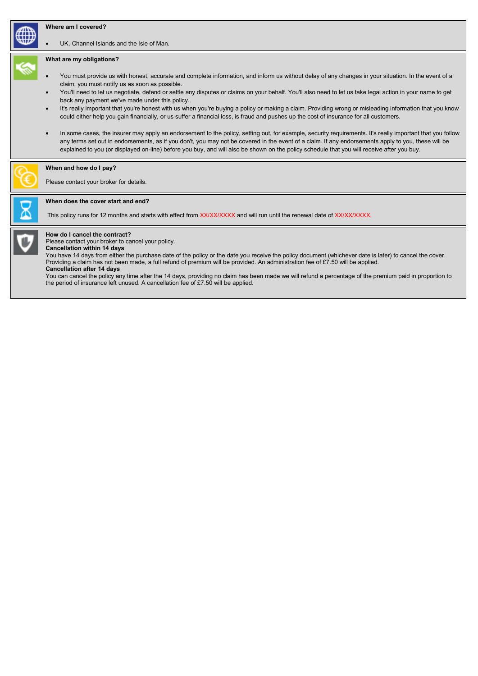### Where am I covered?

UK, Channel Islands and the Isle of Man.

#### What are my obligations?

- You must provide us with honest, accurate and complete information, and inform us without delay of any changes in your situation. In the event of a claim, you must notify us as soon as possible.
- You'll need to let us negotiate, defend or settle any disputes or claims on your behalf. You'll also need to let us take legal action in your name to get back any payment we've made under this policy.
- It's really important that you're honest with us when you're buying a policy or making a claim. Providing wrong or misleading information that you know could either help you gain financially, or us suffer a financial loss, is fraud and pushes up the cost of insurance for all customers.
- In some cases, the insurer may apply an endorsement to the policy, setting out, for example, security requirements. It's really important that you follow any terms set out in endorsements, as if you don't, you may not be covered in the event of a claim. If any endorsements apply to you, these will be explained to you (or displayed on-line) before you buy, and will also be shown on the policy schedule that you will receive after you buy.

#### When and how do I pay?

Please contact your broker for details.

#### When does the cover start and end?

This policy runs for 12 months and starts with effect from XX/XX/XXXX and will run until the renewal date of XX/XX/XXXX.



How do I cancel the contract?

Please contact your broker to cancel your policy. Cancellation within 14 days

You have 14 days from either the purchase date of the policy or the date you receive the policy document (whichever date is later) to cancel the cover. Providing a claim has not been made, a full refund of premium will be provided. An administration fee of £7.50 will be applied.

#### Cancellation after 14 days

You can cancel the policy any time after the 14 days, providing no claim has been made we will refund a percentage of the premium paid in proportion to the period of insurance left unused. A cancellation fee of £7.50 will be applied.